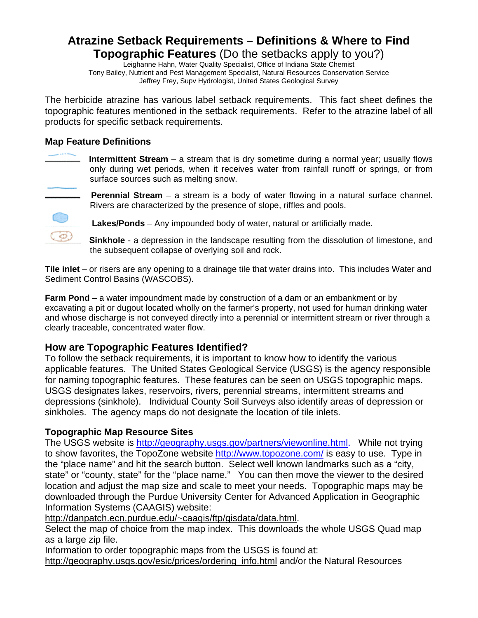## **Atrazine Setback Requirements – Definitions & Where to Find Topographic Features** (Do the setbacks apply to you?)

Leighanne Hahn, Water Quality Specialist, Office of Indiana State Chemist Tony Bailey, Nutrient and Pest Management Specialist, Natural Resources Conservation Service Jeffrey Frey, Supv Hydrologist, United States Geological Survey

The herbicide atrazine has various label setback requirements. This fact sheet defines the topographic features mentioned in the setback requirements. Refer to the atrazine label of all products for specific setback requirements.

## **Map Feature Definitions**



 **Intermittent Stream** – a stream that is dry sometime during a normal year; usually flows only during wet periods, when it receives water from rainfall runoff or springs, or from surface sources such as melting snow.

**Perennial Stream** – a stream is a body of water flowing in a natural surface channel. Rivers are characterized by the presence of slope, riffles and pools.

**Lakes/Ponds** – Any impounded body of water, natural or artificially made.

 **Sinkhole** - a depression in the landscape resulting from the dissolution of limestone, and the subsequent collapse of overlying soil and rock.

**Tile inlet** – or risers are any opening to a drainage tile that water drains into. This includes Water and Sediment Control Basins (WASCOBS).

**Farm Pond** – a water impoundment made by construction of a dam or an embankment or by excavating a pit or dugout located wholly on the farmer's property, not used for human drinking water and whose discharge is not conveyed directly into a perennial or intermittent stream or river through a clearly traceable, concentrated water flow.

## **How are Topographic Features Identified?**

To follow the setback requirements, it is important to know how to identify the various applicable features. The United States Geological Service (USGS) is the agency responsible for naming topographic features. These features can be seen on USGS topographic maps. USGS designates lakes, reservoirs, rivers, perennial streams, intermittent streams and depressions (sinkhole). Individual County Soil Surveys also identify areas of depression or sinkholes. The agency maps do not designate the location of tile inlets.

## **Topographic Map Resource Sites**

The USGS website is http://geography.usgs.gov/partners/viewonline.html. While not trying to show favorites, the TopoZone website http://www.topozone.com/ is easy to use. Type in the "place name" and hit the search button. Select well known landmarks such as a "city, state" or "county, state" for the "place name." You can then move the viewer to the desired location and adjust the map size and scale to meet your needs. Topographic maps may be downloaded through the Purdue University Center for Advanced Application in Geographic Information Systems (CAAGIS) website:

http://danpatch.ecn.purdue.edu/~caagis/ftp/gisdata/data.html.

Select the map of choice from the map index. This downloads the whole USGS Quad map as a large zip file.

Information to order topographic maps from the USGS is found at:

http://geography.usgs.gov/esic/prices/ordering\_info.html and/or the Natural Resources